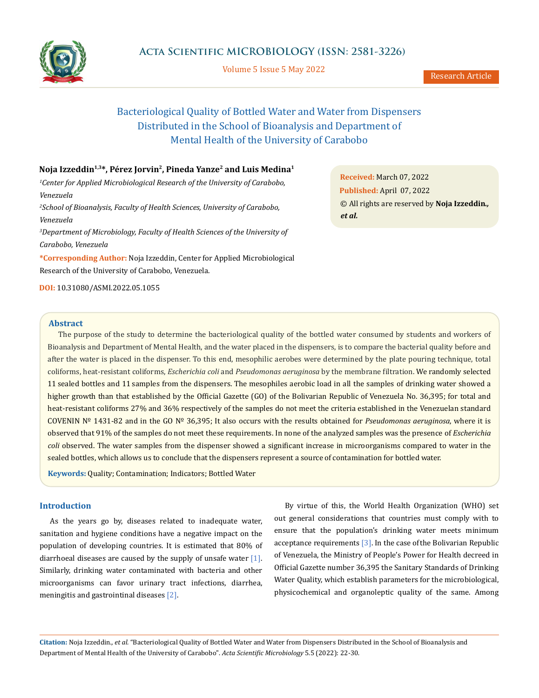

Volume 5 Issue 5 May 2022

# Bacteriological Quality of Bottled Water and Water from Dispensers Distributed in the School of Bioanalysis and Department of Mental Health of the University of Carabobo

# **Noja Izzeddin1,3\*, Pérez Jorvin2, Pineda Yanze2 and Luis Medina1**

*1 Center for Applied Microbiological Research of the University of Carabobo, Venezuela*

*2 School of Bioanalysis, Faculty of Health Sciences, University of Carabobo, Venezuela*

*3 Department of Microbiology, Faculty of Health Sciences of the University of Carabobo, Venezuela*

**\*Corresponding Author:** Noja Izzeddin, Center for Applied Microbiological Research of the University of Carabobo, Venezuela.

**DOI:** [10.31080/ASMI.2022.05.1055](http:// actascientific.com/ASMI/pdf/ASMI-05-1055.pdf)

**Received:** March 07, 2022 **Published:** April 07, 2022 © All rights are reserved by **Noja Izzeddin***., et al.*

#### **Abstract**

The purpose of the study to determine the bacteriological quality of the bottled water consumed by students and workers of Bioanalysis and Department of Mental Health, and the water placed in the dispensers, is to compare the bacterial quality before and after the water is placed in the dispenser. To this end, mesophilic aerobes were determined by the plate pouring technique, total coliforms, heat-resistant coliforms, *Escherichia coli* and *Pseudomonas aeruginosa* by the membrane filtration. We randomly selected 11 sealed bottles and 11 samples from the dispensers. The mesophiles aerobic load in all the samples of drinking water showed a higher growth than that established by the Official Gazette (GO) of the Bolivarian Republic of Venezuela No. 36,395; for total and heat-resistant coliforms 27% and 36% respectively of the samples do not meet the criteria established in the Venezuelan standard COVENIN Nº 1431-82 and in the GO Nº 36,395; It also occurs with the results obtained for *Pseudomonas aeruginosa*, where it is observed that 91% of the samples do not meet these requirements. In none of the analyzed samples was the presence of *Escherichia coli* observed. The water samples from the dispenser showed a significant increase in microorganisms compared to water in the sealed bottles, which allows us to conclude that the dispensers represent a source of contamination for bottled water.

**Keywords:** Quality; Contamination; Indicators; Bottled Water

# **Introduction**

As the years go by, diseases related to inadequate water, sanitation and hygiene conditions have a negative impact on the population of developing countries. It is estimated that 80% of diarrhoeal diseases are caused by the supply of unsafe water  $[1]$ . Similarly, drinking water contaminated with bacteria and other microorganisms can favor urinary tract infections, diarrhea, meningitis and gastrointinal diseases [2].

By virtue of this, the World Health Organization (WHO) set out general considerations that countries must comply with to ensure that the population's drinking water meets minimum acceptance requirements  $[3]$ . In the case of the Bolivarian Republic of Venezuela, the Ministry of People's Power for Health decreed in Official Gazette number 36,395 the Sanitary Standards of Drinking Water Quality, which establish parameters for the microbiological, physicochemical and organoleptic quality of the same. Among

**Citation:** Noja Izzeddin*., et al.* "Bacteriological Quality of Bottled Water and Water from Dispensers Distributed in the School of Bioanalysis and Department of Mental Health of the University of Carabobo". *Acta Scientific Microbiology* 5.5 (2022): 22-30.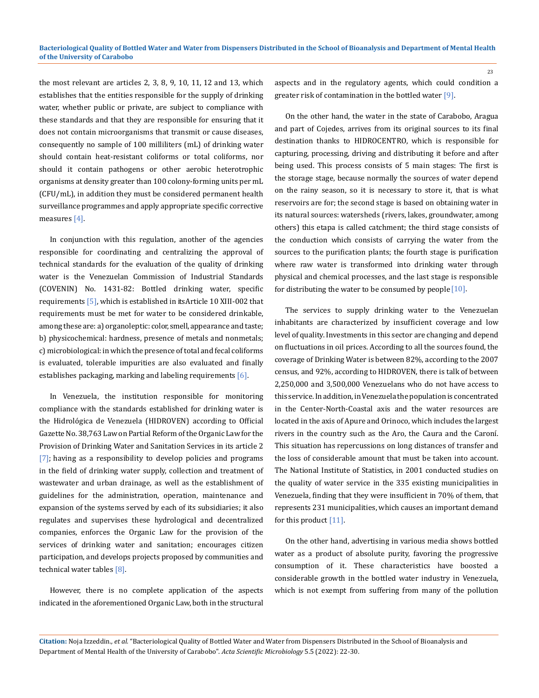the most relevant are articles 2, 3, 8, 9, 10, 11, 12 and 13, which establishes that the entities responsible for the supply of drinking water, whether public or private, are subject to compliance with these standards and that they are responsible for ensuring that it does not contain microorganisms that transmit or cause diseases, consequently no sample of 100 milliliters (mL) of drinking water should contain heat-resistant coliforms or total coliforms, nor should it contain pathogens or other aerobic heterotrophic organisms at density greater than 100 colony-forming units per mL (CFU/mL), in addition they must be considered permanent health surveillance programmes and apply appropriate specific corrective measures [4].

In conjunction with this regulation, another of the agencies responsible for coordinating and centralizing the approval of technical standards for the evaluation of the quality of drinking water is the Venezuelan Commission of Industrial Standards (COVENIN) No. 1431-82: Bottled drinking water, specific requirements [5], which is established in its Article 10 XIII-002 that requirements must be met for water to be considered drinkable, among these are: a) organoleptic: color, smell, appearance and taste; b) physicochemical: hardness, presence of metals and nonmetals; c) microbiological: in which the presence of total and fecal coliforms is evaluated, tolerable impurities are also evaluated and finally establishes packaging, marking and labeling requirements [6].

In Venezuela, the institution responsible for monitoring compliance with the standards established for drinking water is the Hidrológica de Venezuela (HIDROVEN) according to Official Gazette No. 38,763 Law on Partial Reform of the Organic Law for the Provision of Drinking Water and Sanitation Services in its article 2 [7]; having as a responsibility to develop policies and programs in the field of drinking water supply, collection and treatment of wastewater and urban drainage, as well as the establishment of guidelines for the administration, operation, maintenance and expansion of the systems served by each of its subsidiaries; it also regulates and supervises these hydrological and decentralized companies, enforces the Organic Law for the provision of the services of drinking water and sanitation; encourages citizen participation, and develops projects proposed by communities and technical water tables [8].

However, there is no complete application of the aspects indicated in the aforementioned Organic Law, both in the structural aspects and in the regulatory agents, which could condition a greater risk of contamination in the bottled water [9].

On the other hand, the water in the state of Carabobo, Aragua and part of Cojedes, arrives from its original sources to its final destination thanks to HIDROCENTRO, which is responsible for capturing, processing, driving and distributing it before and after being used. This process consists of 5 main stages: The first is the storage stage, because normally the sources of water depend on the rainy season, so it is necessary to store it, that is what reservoirs are for; the second stage is based on obtaining water in its natural sources: watersheds (rivers, lakes, groundwater, among others) this etapa is called catchment; the third stage consists of the conduction which consists of carrying the water from the sources to the purification plants; the fourth stage is purification where raw water is transformed into drinking water through physical and chemical processes, and the last stage is responsible for distributing the water to be consumed by people  $[10]$ .

The services to supply drinking water to the Venezuelan inhabitants are characterized by insufficient coverage and low level of quality. Investments in this sector are changing and depend on fluctuations in oil prices. According to all the sources found, the coverage of Drinking Water is between 82%, according to the 2007 census, and 92%, according to HIDROVEN, there is talk of between 2,250,000 and 3,500,000 Venezuelans who do not have access to this service. In addition, in Venezuela the population is concentrated in the Center-North-Coastal axis and the water resources are located in the axis of Apure and Orinoco, which includes the largest rivers in the country such as the Aro, the Caura and the Caroní. This situation has repercussions on long distances of transfer and the loss of considerable amount that must be taken into account. The National Institute of Statistics, in 2001 conducted studies on the quality of water service in the 335 existing municipalities in Venezuela, finding that they were insufficient in 70% of them, that represents 231 municipalities, which causes an important demand for this product  $[11]$ .

On the other hand, advertising in various media shows bottled water as a product of absolute purity, favoring the progressive consumption of it. These characteristics have boosted a considerable growth in the bottled water industry in Venezuela, which is not exempt from suffering from many of the pollution

**Citation:** Noja Izzeddin*., et al.* "Bacteriological Quality of Bottled Water and Water from Dispensers Distributed in the School of Bioanalysis and Department of Mental Health of the University of Carabobo". *Acta Scientific Microbiology* 5.5 (2022): 22-30.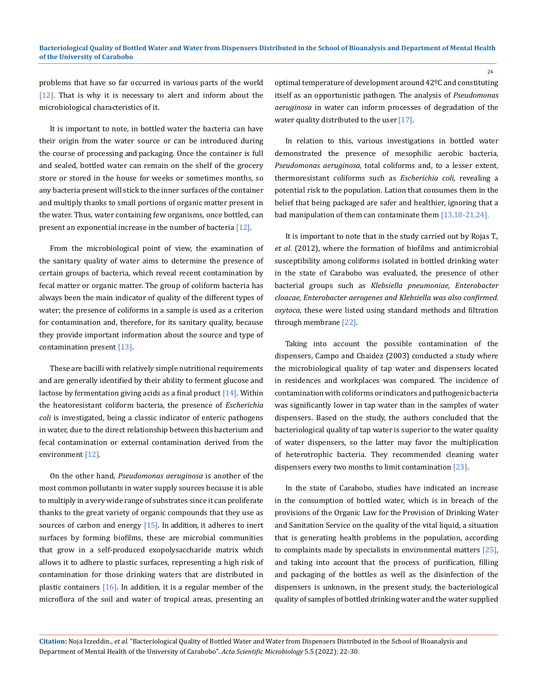problems that have so far occurred in various parts of the world [12]. That is why it is necessary to alert and inform about the microbiological characteristics of it.

It is important to note, in bottled water the bacteria can have their origin from the water source or can be introduced during the course of processing and packaging. Once the container is full and sealed, bottled water can remain on the shelf of the grocery store or stored in the house for weeks or sometimes months, so any bacteria present will stick to the inner surfaces of the container and multiply thanks to small portions of organic matter present in the water. Thus, water containing few organisms, once bottled, can present an exponential increase in the number of bacteria [12].

From the microbiological point of view, the examination of the sanitary quality of water aims to determine the presence of certain groups of bacteria, which reveal recent contamination by fecal matter or organic matter. The group of coliform bacteria has always been the main indicator of quality of the different types of water; the presence of coliforms in a sample is used as a criterion for contamination and, therefore, for its sanitary quality, because they provide important information about the source and type of contamination present [13].

These are bacilli with relatively simple nutritional requirements and are generally identified by their ability to ferment glucose and lactose by fermentation giving acids as a final product  $[14]$ . Within the heatoresistant coliform bacteria, the presence of *Escherichia coli* is investigated, being a classic indicator of enteric pathogens in water, due to the direct relationship between this bacterium and fecal contamination or external contamination derived from the environment [12].

On the other hand, *Pseudomonas aeruginosa* is another of the most common pollutants in water supply sources because it is able to multiply in a very wide range of substrates since it can proliferate thanks to the great variety of organic compounds that they use as sources of carbon and energy  $[15]$ . In addition, it adheres to inert surfaces by forming biofilms, these are microbial communities that grow in a self-produced exopolysaccharide matrix which allows it to adhere to plastic surfaces, representing a high risk of contamination for those drinking waters that are distributed in plastic containers  $[16]$ . In addition, it is a regular member of the microflora of the soil and water of tropical areas, presenting an

optimal temperature of development around 42ºC and constituting itself as an opportunistic pathogen. The analysis of *Pseudomonas aeruginosa* in water can inform processes of degradation of the water quality distributed to the user [17].

In relation to this, various investigations in bottled water demonstrated the presence of mesophilic aerobic bacteria, *Pseudomonas aeruginosa,* total coliforms and, to a lesser extent, thermoresistant coliforms such as *Escherichia coli,* revealing a potential risk to the population. Lation that consumes them in the belief that being packaged are safer and healthier, ignoring that a bad manipulation of them can contaminate them [13,18-21,24].

It is important to note that in the study carried out by Rojas T., *et al*. (2012), where the formation of biofilms and antimicrobial susceptibility among coliforms isolated in bottled drinking water in the state of Carabobo was evaluated, the presence of other bacterial groups such as *Klebsiella pneumoniae, Enterobacter cloacae, Enterobacter aerogenes and Klebsiella was also confirmed. oxytoca,* these were listed using standard methods and filtration through membrane [22].

Taking into account the possible contamination of the dispensers, Campo and Chaidez (2003) conducted a study where the microbiological quality of tap water and dispensers located in residences and workplaces was compared. The incidence of contamination with coliforms or indicators and pathogenic bacteria was significantly lower in tap water than in the samples of water dispensers. Based on the study, the authors concluded that the bacteriological quality of tap water is superior to the water quality of water dispensers, so the latter may favor the multiplication of heterotrophic bacteria. They recommended cleaning water dispensers every two months to limit contamination [23].

In the state of Carabobo, studies have indicated an increase in the consumption of bottled water, which is in breach of the provisions of the Organic Law for the Provision of Drinking Water and Sanitation Service on the quality of the vital liquid, a situation that is generating health problems in the population, according to complaints made by specialists in environmental matters [25], and taking into account that the process of purification, filling and packaging of the bottles as well as the disinfection of the dispensers is unknown, in the present study, the bacteriological quality of samples of bottled drinking water and the water supplied

**Citation:** Noja Izzeddin*., et al.* "Bacteriological Quality of Bottled Water and Water from Dispensers Distributed in the School of Bioanalysis and Department of Mental Health of the University of Carabobo". *Acta Scientific Microbiology* 5.5 (2022): 22-30.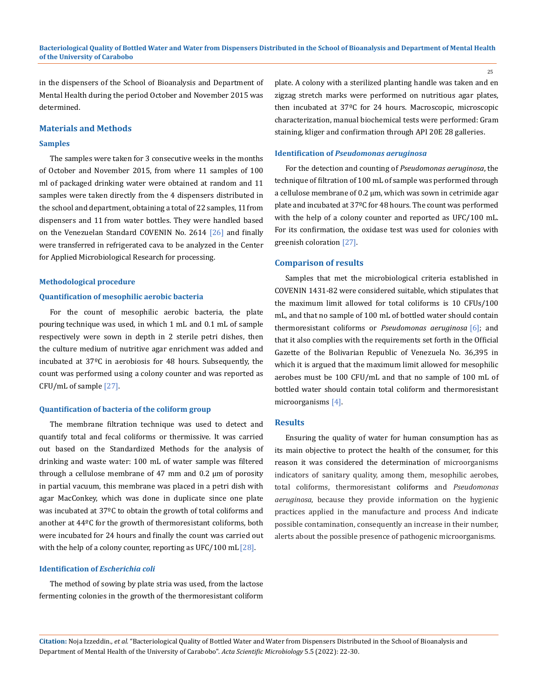in the dispensers of the School of Bioanalysis and Department of Mental Health during the period October and November 2015 was determined.

## **Materials and Methods**

## **Samples**

The samples were taken for 3 consecutive weeks in the months of October and November 2015, from where 11 samples of 100 ml of packaged drinking water were obtained at random and 11 samples were taken directly from the 4 dispensers distributed in the school and department, obtaining a total of 22 samples, 11 from dispensers and 11 from water bottles. They were handled based on the Venezuelan Standard COVENIN No. 2614 [26] and finally were transferred in refrigerated cava to be analyzed in the Center for Applied Microbiological Research for processing.

## **Methodological procedure**

#### **Quantification of mesophilic aerobic bacteria**

For the count of mesophilic aerobic bacteria, the plate pouring technique was used, in which 1 mL and 0.1 mL of sample respectively were sown in depth in 2 sterile petri dishes, then the culture medium of nutritive agar enrichment was added and incubated at 37ºC in aerobiosis for 48 hours. Subsequently, the count was performed using a colony counter and was reported as CFU/mL of sample [27].

#### **Quantification of bacteria of the coliform group**

The membrane filtration technique was used to detect and quantify total and fecal coliforms or thermissive. It was carried out based on the Standardized Methods for the analysis of drinking and waste water: 100 mL of water sample was filtered through a cellulose membrane of 47 mm and 0.2 μm of porosity in partial vacuum, this membrane was placed in a petri dish with agar MacConkey, which was done in duplicate since one plate was incubated at 37ºC to obtain the growth of total coliforms and another at 44ºC for the growth of thermoresistant coliforms, both were incubated for 24 hours and finally the count was carried out with the help of a colony counter, reporting as UFC/100 mL [28].

## **Identification of** *Escherichia coli*

The method of sowing by plate stria was used, from the lactose fermenting colonies in the growth of the thermoresistant coliform plate. A colony with a sterilized planting handle was taken and en zigzag stretch marks were performed on nutritious agar plates, then incubated at 37ºC for 24 hours. Macroscopic, microscopic characterization, manual biochemical tests were performed: Gram staining, kliger and confirmation through API 20E 28 galleries.

#### **Identification of** *Pseudomonas aeruginosa*

For the detection and counting of *Pseudomonas aeruginosa*, the technique of filtration of 100 mL of sample was performed through a cellulose membrane of 0.2 μm, which was sown in cetrimide agar plate and incubated at 37ºC for 48 hours. The count was performed with the help of a colony counter and reported as UFC/100 mL. For its confirmation, the oxidase test was used for colonies with greenish coloration [27].

## **Comparison of results**

Samples that met the microbiological criteria established in COVENIN 1431-82 were considered suitable, which stipulates that the maximum limit allowed for total coliforms is 10 CFUs/100 mL, and that no sample of 100 mL of bottled water should contain thermoresistant coliforms or *Pseudomonas aeruginosa* [6]; and that it also complies with the requirements set forth in the Official Gazette of the Bolivarian Republic of Venezuela No. 36,395 in which it is argued that the maximum limit allowed for mesophilic aerobes must be 100 CFU/mL and that no sample of 100 mL of bottled water should contain total coliform and thermoresistant microorganisms [4].

#### **Results**

Ensuring the quality of water for human consumption has as its main objective to protect the health of the consumer, for this reason it was considered the determination of microorganisms indicators of sanitary quality, among them, mesophilic aerobes, total coliforms, thermoresistant coliforms and *Pseudomonas aeruginosa*, because they provide information on the hygienic practices applied in the manufacture and process And indicate possible contamination, consequently an increase in their number, alerts about the possible presence of pathogenic microorganisms.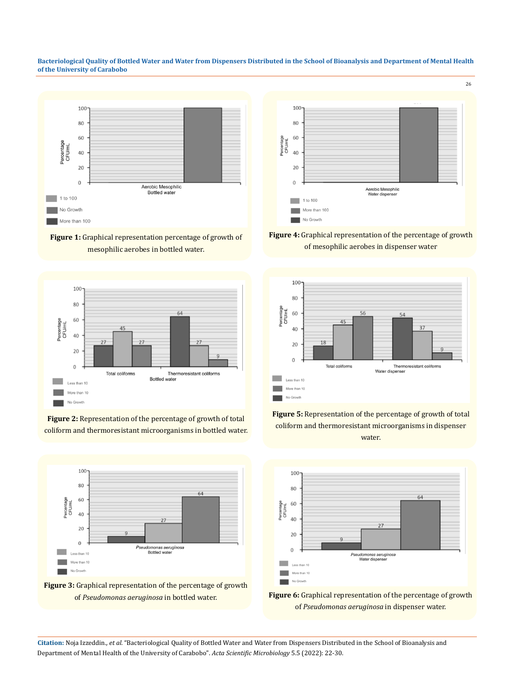**Bacteriological Quality of Bottled Water and Water from Dispensers Distributed in the School of Bioanalysis and Department of Mental Health of the University of Carabobo**

























**Citation:** Noja Izzeddin*., et al.* "Bacteriological Quality of Bottled Water and Water from Dispensers Distributed in the School of Bioanalysis and Department of Mental Health of the University of Carabobo". *Acta Scientific Microbiology* 5.5 (2022): 22-30.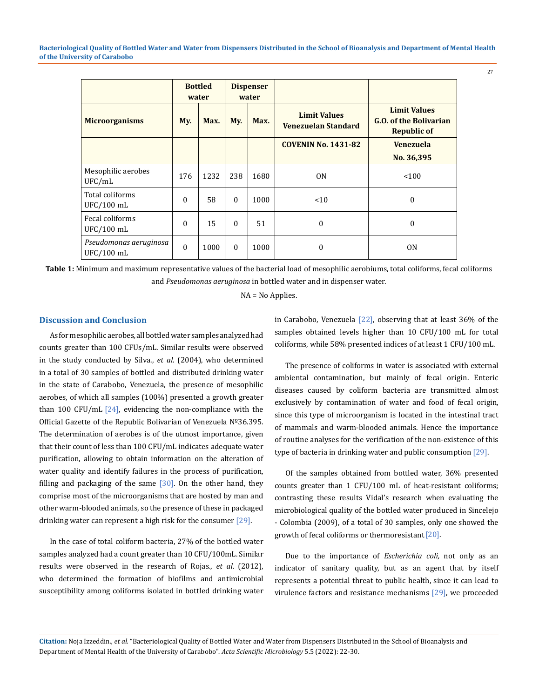**Bacteriological Quality of Bottled Water and Water from Dispensers Distributed in the School of Bioanalysis and Department of Mental Health of the University of Carabobo**

|                                      | <b>Bottled</b><br>water |      | <b>Dispenser</b><br>water |      |                                                   |                                                                            |
|--------------------------------------|-------------------------|------|---------------------------|------|---------------------------------------------------|----------------------------------------------------------------------------|
| <b>Microorganisms</b>                | My.                     | Max. | My.                       | Max. | <b>Limit Values</b><br><b>Venezuelan Standard</b> | <b>Limit Values</b><br><b>G.O. of the Bolivarian</b><br><b>Republic of</b> |
|                                      |                         |      |                           |      | <b>COVENIN No. 1431-82</b>                        | <b>Venezuela</b>                                                           |
|                                      |                         |      |                           |      |                                                   | No. 36,395                                                                 |
| Mesophilic aerobes<br>UFC/mL         | 176                     | 1232 | 238                       | 1680 | 0 <sub>N</sub>                                    | < 100                                                                      |
| Total coliforms<br>UFC/100 mL        | $\Omega$                | 58   | $\Omega$                  | 1000 | < 10                                              | $\mathbf{0}$                                                               |
| Fecal coliforms<br>UFC/100 mL        | $\theta$                | 15   | $\Omega$                  | 51   | $\mathbf{0}$                                      | $\mathbf{0}$                                                               |
| Pseudomonas aeruginosa<br>UFC/100 mL | $\Omega$                | 1000 | $\Omega$                  | 1000 | $\mathbf{0}$                                      | 0 <sub>N</sub>                                                             |

**Table 1:** Minimum and maximum representative values of the bacterial load of mesophilic aerobiums, total coliforms, fecal coliforms and *Pseudomonas aeruginosa* in bottled water and in dispenser water.

NA = No Applies.

# **Discussion and Conclusion**

As for mesophilic aerobes*,* all bottled water samples analyzed had counts greater than 100 CFUs/mL. Similar results were observed in the study conducted by Silva., *et al*. (2004), who determined in a total of 30 samples of bottled and distributed drinking water in the state of Carabobo, Venezuela, the presence of mesophilic aerobes, of which all samples (100%) presented a growth greater than 100 CFU/mL  $[24]$ , evidencing the non-compliance with the Official Gazette of the Republic Bolivarian of Venezuela Nº36.395. The determination of aerobes is of the utmost importance, given that their count of less than 100 CFU/mL indicates adequate water purification, allowing to obtain information on the alteration of water quality and identify failures in the process of purification, filling and packaging of the same  $\sqrt{30}$ . On the other hand, they comprise most of the microorganisms that are hosted by man and other warm-blooded animals, so the presence of these in packaged drinking water can represent a high risk for the consumer  $[29]$ .

In the case of total coliform bacteria, 27% of the bottled water samples analyzed had a count greater than 10 CFU/100mL. Similar results were observed in the research of Rojas., *et al*. (2012), who determined the formation of biofilms and antimicrobial susceptibility among coliforms isolated in bottled drinking water in Carabobo, Venezuela [22], observing that at least 36% of the samples obtained levels higher than 10 CFU/100 mL for total coliforms, while 58% presented indices of at least 1 CFU/100 mL.

The presence of coliforms in water is associated with external ambiental contamination, but mainly of fecal origin. Enteric diseases caused by coliform bacteria are transmitted almost exclusively by contamination of water and food of fecal origin, since this type of microorganism is located in the intestinal tract of mammals and warm-blooded animals. Hence the importance of routine analyses for the verification of the non-existence of this type of bacteria in drinking water and public consumption [29].

Of the samples obtained from bottled water, 36% presented counts greater than 1 CFU/100 mL of heat-resistant coliforms; contrasting these results Vidal's research when evaluating the microbiological quality of the bottled water produced in Sincelejo - Colombia (2009), of a total of 30 samples, only one showed the growth of fecal coliforms or thermoresistant  $[20]$ .

Due to the importance of *Escherichia coli,* not only as an indicator of sanitary quality, but as an agent that by itself represents a potential threat to public health, since it can lead to virulence factors and resistance mechanisms [29], we proceeded

**Citation:** Noja Izzeddin*., et al.* "Bacteriological Quality of Bottled Water and Water from Dispensers Distributed in the School of Bioanalysis and Department of Mental Health of the University of Carabobo". *Acta Scientific Microbiology* 5.5 (2022): 22-30.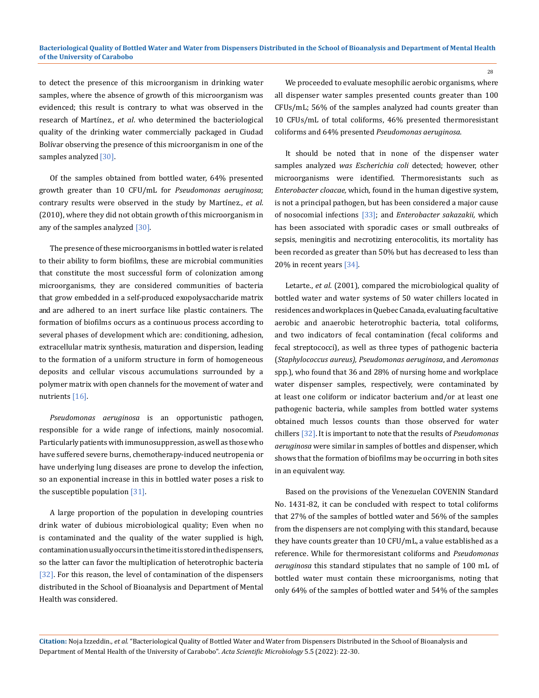to detect the presence of this microorganism in drinking water samples, where the absence of growth of this microorganism was evidenced; this result is contrary to what was observed in the research of Martínez., *et al*. who determined the bacteriological quality of the drinking water commercially packaged in Ciudad Bolívar observing the presence of this microorganism in one of the samples analyzed [30].

Of the samples obtained from bottled water, 64% presented growth greater than 10 CFU/mL for *Pseudomonas aeruginosa*; contrary results were observed in the study by Martínez., *et al*. (2010), where they did not obtain growth of this microorganism in any of the samples analyzed [30].

The presence of these microorganisms in bottled water is related to their ability to form biofilms, these are microbial communities that constitute the most successful form of colonization among microorganisms, they are considered communities of bacteria that grow embedded in a self-produced exopolysaccharide matrix and are adhered to an inert surface like plastic containers. The formation of biofilms occurs as a continuous process according to several phases of development which are: conditioning, adhesion, extracellular matrix synthesis, maturation and dispersion, leading to the formation of a uniform structure in form of homogeneous deposits and cellular viscous accumulations surrounded by a polymer matrix with open channels for the movement of water and nutrients [16].

*Pseudomonas aeruginosa* is an opportunistic pathogen, responsible for a wide range of infections, mainly nosocomial. Particularly patients with immunosuppression, as well as those who have suffered severe burns, chemotherapy-induced neutropenia or have underlying lung diseases are prone to develop the infection, so an exponential increase in this in bottled water poses a risk to the susceptible population [31].

A large proportion of the population in developing countries drink water of dubious microbiological quality; Even when no is contaminated and the quality of the water supplied is high, contamination usually occurs in the time it is stored in the dispensers, so the latter can favor the multiplication of heterotrophic bacteria [32]. For this reason, the level of contamination of the dispensers distributed in the School of Bioanalysis and Department of Mental Health was considered.

We proceeded to evaluate mesophilic aerobic organisms*,* where all dispenser water samples presented counts greater than 100 CFUs/mL; 56% of the samples analyzed had counts greater than 10 CFUs/mL of total coliforms, 46% presented thermoresistant coliforms and 64% presented *Pseudomonas aeruginosa*.

It should be noted that in none of the dispenser water samples analyzed *was Escherichia coli* detected; however, other microorganisms were identified. Thermoresistants such as *Enterobacter cloacae,* which*,* found in the human digestive system, is not a principal pathogen, but has been considered a major cause of nosocomial infections [33]; and *Enterobacter sakazakii,* which has been associated with sporadic cases or small outbreaks of sepsis, meningitis and necrotizing enterocolitis, its mortality has been recorded as greater than 50% but has decreased to less than 20% in recent years [34].

Letarte., *et al*. (2001), compared the microbiological quality of bottled water and water systems of 50 water chillers located in residences and workplaces in Quebec Canada, evaluating facultative aerobic and anaerobic heterotrophic bacteria, total coliforms, and two indicators of fecal contamination (fecal coliforms and fecal streptococci), as well as three types of pathogenic bacteria (*Staphylococcus aureus), Pseudomonas aeruginosa*, and *Aeromonas* spp.), who found that 36 and 28% of nursing home and workplace water dispenser samples, respectively, were contaminated by at least one coliform or indicator bacterium and/or at least one pathogenic bacteria, while samples from bottled water systems obtained much lessos counts than those observed for water chillers [32]. It is important to note that the results of *Pseudomonas aeruginosa* were similar in samples of bottles and dispenser, which shows that the formation of biofilms may be occurring in both sites in an equivalent way.

Based on the provisions of the Venezuelan COVENIN Standard No. 1431-82, it can be concluded with respect to total coliforms that 27% of the samples of bottled water and 56% of the samples from the dispensers are not complying with this standard, because they have counts greater than 10 CFU/mL, a value established as a reference. While for thermoresistant coliforms and *Pseudomonas aeruginosa* this standard stipulates that no sample of 100 mL of bottled water must contain these microorganisms, noting that only 64% of the samples of bottled water and 54% of the samples

**Citation:** Noja Izzeddin*., et al.* "Bacteriological Quality of Bottled Water and Water from Dispensers Distributed in the School of Bioanalysis and Department of Mental Health of the University of Carabobo". *Acta Scientific Microbiology* 5.5 (2022): 22-30.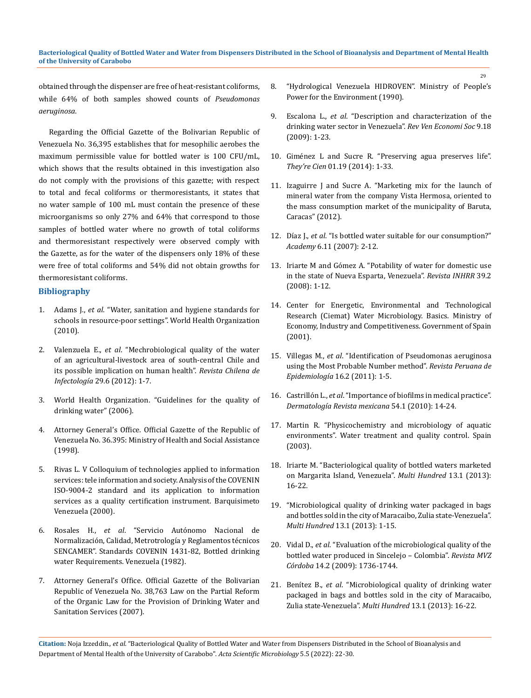obtained through the dispenser are free of heat-resistant coliforms, while 64% of both samples showed counts of *Pseudomonas aeruginosa*.

Regarding the Official Gazette of the Bolivarian Republic of Venezuela No. 36,395 establishes that for mesophilic aerobes the maximum permissible value for bottled water is 100 CFU/mL, which shows that the results obtained in this investigation also do not comply with the provisions of this gazette; with respect to total and fecal coliforms or thermoresistants, it states that no water sample of 100 mL must contain the presence of these microorganisms so only 27% and 64% that correspond to those samples of bottled water where no growth of total coliforms and thermoresistant respectively were observed comply with the Gazette, as for the water of the dispensers only 18% of these were free of total coliforms and 54% did not obtain growths for thermoresistant coliforms.

# **Bibliography**

- 1. Adams J., *et al*. "Water, sanitation and hygiene standards for schools in resource-poor settings". World Health Organization (2010).
- 2. Valenzuela E., *et al*[. "Mechrobiological quality of the water](https://pubmed.ncbi.nlm.nih.gov/23412031/)  [of an agricultural-livestock area of south-central Chile and](https://pubmed.ncbi.nlm.nih.gov/23412031/)  [its possible implication on human health".](https://pubmed.ncbi.nlm.nih.gov/23412031/) *Revista Chilena de Infectología* [29.6 \(2012\): 1-7.](https://pubmed.ncbi.nlm.nih.gov/23412031/)
- 3. World Health Organization. "Guidelines for the quality of drinking water" (2006).
- 4. Attorney General's Office. Official Gazette of the Republic of Venezuela No. 36.395: Ministry of Health and Social Assistance (1998).
- 5. Rivas L. V Colloquium of technologies applied to information services: tele information and society. Analysis of the COVENIN ISO-9004-2 standard and its application to information services as a quality certification instrument. Barquisimeto Venezuela (2000).
- 6. Rosales H., *et al*. "Servicio Autónomo Nacional de Normalización, Calidad, Metrotrología y Reglamentos técnicos SENCAMER". Standards COVENIN 1431-82, Bottled drinking water Requirements. Venezuela (1982).
- 7. Attorney General's Office. Official Gazette of the Bolivarian Republic of Venezuela No. 38,763 Law on the Partial Reform of the Organic Law for the Provision of Drinking Water and Sanitation Services (2007).
- 8. "Hydrological Venezuela HIDROVEN". Ministry of People's Power for the Environment (1990).
- 9. Escalona L., *et al*. "Description and characterization of the drinking water sector in Venezuela". *Rev Ven Economi Soc* 9.18 (2009): 1-23.
- 10. Giménez L and Sucre R. "Preserving agua preserves life". *They're Cien* 01.19 (2014): 1-33.
- 11. Izaguirre J and Sucre A. "Marketing mix for the launch of mineral water from the company Vista Hermosa, oriented to the mass consumption market of the municipality of Baruta, Caracas" (2012).
- 12. Díaz J., *et al*. "Is bottled water suitable for our consumption?" *Academy* 6.11 (2007): 2-12.
- 13. Iriarte M and Gómez A. "Potability of water for domestic use in the state of Nueva Esparta, Venezuela". *Revista INHRR* 39.2 (2008): 1-12.
- 14. Center for Energetic, Environmental and Technological Research (Ciemat) Water Microbiology. Basics. Ministry of Economy, Industry and Competitiveness. Government of Spain (2001).
- 15. Villegas M., *et al*. "Identification of Pseudomonas aeruginosa using the Most Probable Number method". *Revista Peruana de Epidemiología* 16.2 (2011): 1-5.
- 16. Castrillón L., *et al*. "Importance of biofilms in medical practice". *Dermatología Revista mexicana* 54.1 (2010): 14-24.
- 17. Martin R. "Physicochemistry and microbiology of aquatic environments". Water treatment and quality control. Spain (2003).
- 18. Iriarte M. "Bacteriological quality of bottled waters marketed on Margarita Island, Venezuela". *Multi Hundred* 13.1 (2013): 16-22.
- 19. "Microbiological quality of drinking water packaged in bags and bottles sold in the city of Maracaibo, Zulia state-Venezuela". *Multi Hundred* 13.1 (2013): 1-15.
- 20. Vidal D., *et al*. "Evaluation of the microbiological quality of the bottled water produced in Sincelejo – Colombia". *Revista MVZ Córdoba* 14.2 (2009): 1736-1744.
- 21. Benítez B., *et al*. "Microbiological quality of drinking water packaged in bags and bottles sold in the city of Maracaibo, Zulia state-Venezuela". *Multi Hundred* 13.1 (2013): 16-22.

**Citation:** Noja Izzeddin*., et al.* "Bacteriological Quality of Bottled Water and Water from Dispensers Distributed in the School of Bioanalysis and Department of Mental Health of the University of Carabobo". *Acta Scientific Microbiology* 5.5 (2022): 22-30.